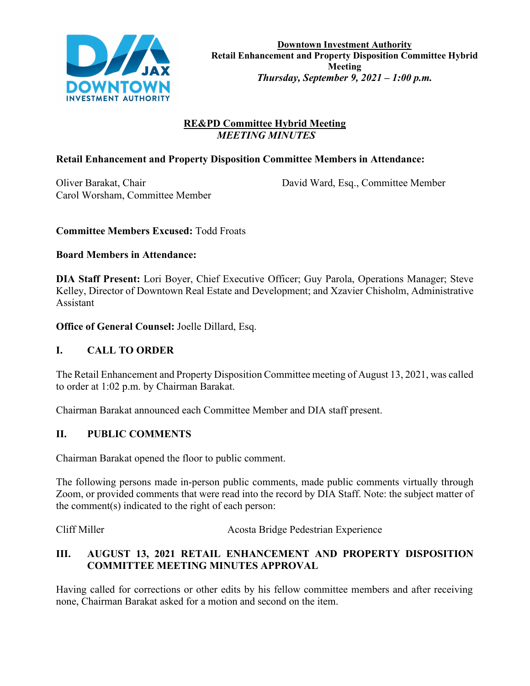

# **RE&PD Committee Hybrid Meeting**  *MEETING MINUTES*

## **Retail Enhancement and Property Disposition Committee Members in Attendance:**

Carol Worsham, Committee Member

Oliver Barakat, Chair David Ward, Esq., Committee Member

**Committee Members Excused:** Todd Froats

**Board Members in Attendance:**

**DIA Staff Present:** Lori Boyer, Chief Executive Officer; Guy Parola, Operations Manager; Steve Kelley, Director of Downtown Real Estate and Development; and Xzavier Chisholm, Administrative Assistant

**Office of General Counsel:** Joelle Dillard, Esq.

#### **I. CALL TO ORDER**

The Retail Enhancement and Property Disposition Committee meeting of August 13, 2021, was called to order at 1:02 p.m. by Chairman Barakat.

Chairman Barakat announced each Committee Member and DIA staff present.

#### **II. PUBLIC COMMENTS**

Chairman Barakat opened the floor to public comment.

The following persons made in-person public comments, made public comments virtually through Zoom, or provided comments that were read into the record by DIA Staff. Note: the subject matter of the comment(s) indicated to the right of each person:

Cliff Miller Acosta Bridge Pedestrian Experience

#### **III. AUGUST 13, 2021 RETAIL ENHANCEMENT AND PROPERTY DISPOSITION COMMITTEE MEETING MINUTES APPROVAL**

Having called for corrections or other edits by his fellow committee members and after receiving none, Chairman Barakat asked for a motion and second on the item.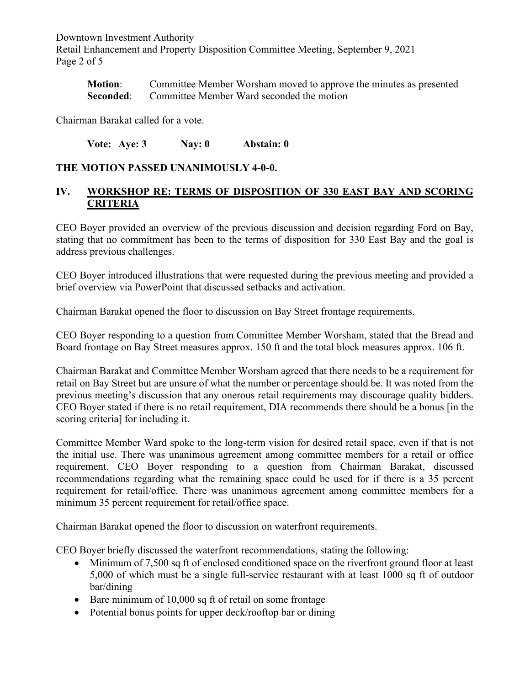Downtown Investment Authority Retail Enhancement and Property Disposition Committee Meeting, September 9, 2021 Page 2 of 5

**Motion**: Committee Member Worsham moved to approve the minutes as presented **Seconded:** Committee Member Ward seconded the motion

Chairman Barakat called for a vote.

**Vote: Aye: 3 Nay: 0 Abstain: 0**

## **THE MOTION PASSED UNANIMOUSLY 4-0-0.**

#### **IV. WORKSHOP RE: TERMS OF DISPOSITION OF 330 EAST BAY AND SCORING CRITERIA**

CEO Boyer provided an overview of the previous discussion and decision regarding Ford on Bay, stating that no commitment has been to the terms of disposition for 330 East Bay and the goal is address previous challenges.

CEO Boyer introduced illustrations that were requested during the previous meeting and provided a brief overview via PowerPoint that discussed setbacks and activation.

Chairman Barakat opened the floor to discussion on Bay Street frontage requirements.

CEO Boyer responding to a question from Committee Member Worsham, stated that the Bread and Board frontage on Bay Street measures approx. 150 ft and the total block measures approx. 106 ft.

Chairman Barakat and Committee Member Worsham agreed that there needs to be a requirement for retail on Bay Street but are unsure of what the number or percentage should be. It was noted from the previous meeting's discussion that any onerous retail requirements may discourage quality bidders. CEO Boyer stated if there is no retail requirement, DIA recommends there should be a bonus [in the scoring criteria] for including it.

Committee Member Ward spoke to the long-term vision for desired retail space, even if that is not the initial use. There was unanimous agreement among committee members for a retail or office requirement. CEO Boyer responding to a question from Chairman Barakat, discussed recommendations regarding what the remaining space could be used for if there is a 35 percent requirement for retail/office. There was unanimous agreement among committee members for a minimum 35 percent requirement for retail/office space.

Chairman Barakat opened the floor to discussion on waterfront requirements.

CEO Boyer briefly discussed the waterfront recommendations, stating the following:

- Minimum of 7,500 sq ft of enclosed conditioned space on the riverfront ground floor at least 5,000 of which must be a single full-service restaurant with at least 1000 sq ft of outdoor bar/dining
- Bare minimum of 10,000 sq ft of retail on some frontage
- Potential bonus points for upper deck/rooftop bar or dining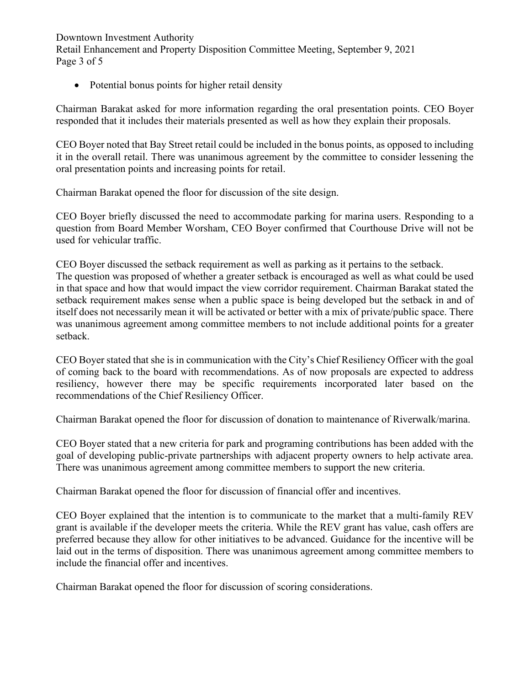Downtown Investment Authority Retail Enhancement and Property Disposition Committee Meeting, September 9, 2021 Page 3 of 5

• Potential bonus points for higher retail density

Chairman Barakat asked for more information regarding the oral presentation points. CEO Boyer responded that it includes their materials presented as well as how they explain their proposals.

CEO Boyer noted that Bay Street retail could be included in the bonus points, as opposed to including it in the overall retail. There was unanimous agreement by the committee to consider lessening the oral presentation points and increasing points for retail.

Chairman Barakat opened the floor for discussion of the site design.

CEO Boyer briefly discussed the need to accommodate parking for marina users. Responding to a question from Board Member Worsham, CEO Boyer confirmed that Courthouse Drive will not be used for vehicular traffic.

CEO Boyer discussed the setback requirement as well as parking as it pertains to the setback. The question was proposed of whether a greater setback is encouraged as well as what could be used in that space and how that would impact the view corridor requirement. Chairman Barakat stated the setback requirement makes sense when a public space is being developed but the setback in and of itself does not necessarily mean it will be activated or better with a mix of private/public space. There was unanimous agreement among committee members to not include additional points for a greater setback.

CEO Boyer stated that she is in communication with the City's Chief Resiliency Officer with the goal of coming back to the board with recommendations. As of now proposals are expected to address resiliency, however there may be specific requirements incorporated later based on the recommendations of the Chief Resiliency Officer.

Chairman Barakat opened the floor for discussion of donation to maintenance of Riverwalk/marina.

CEO Boyer stated that a new criteria for park and programing contributions has been added with the goal of developing public-private partnerships with adjacent property owners to help activate area. There was unanimous agreement among committee members to support the new criteria.

Chairman Barakat opened the floor for discussion of financial offer and incentives.

CEO Boyer explained that the intention is to communicate to the market that a multi-family REV grant is available if the developer meets the criteria. While the REV grant has value, cash offers are preferred because they allow for other initiatives to be advanced. Guidance for the incentive will be laid out in the terms of disposition. There was unanimous agreement among committee members to include the financial offer and incentives.

Chairman Barakat opened the floor for discussion of scoring considerations.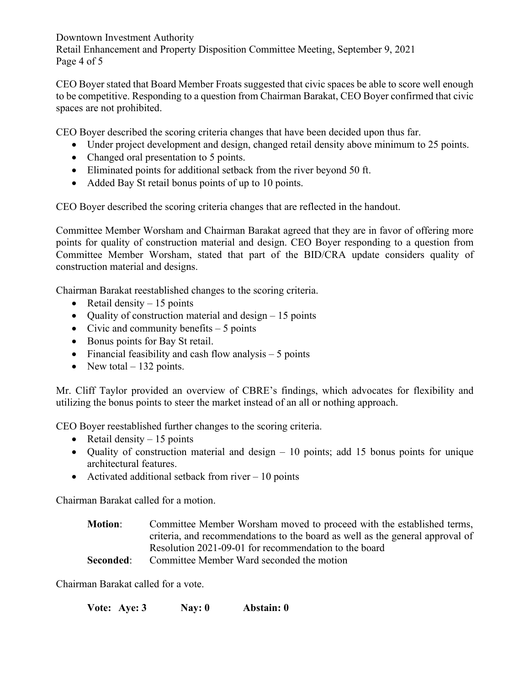Downtown Investment Authority Retail Enhancement and Property Disposition Committee Meeting, September 9, 2021 Page 4 of 5

CEO Boyer stated that Board Member Froats suggested that civic spaces be able to score well enough to be competitive. Responding to a question from Chairman Barakat, CEO Boyer confirmed that civic spaces are not prohibited.

CEO Boyer described the scoring criteria changes that have been decided upon thus far.

- Under project development and design, changed retail density above minimum to 25 points.
- Changed oral presentation to 5 points.
- Eliminated points for additional setback from the river beyond 50 ft.
- Added Bay St retail bonus points of up to 10 points.

CEO Boyer described the scoring criteria changes that are reflected in the handout.

Committee Member Worsham and Chairman Barakat agreed that they are in favor of offering more points for quality of construction material and design. CEO Boyer responding to a question from Committee Member Worsham, stated that part of the BID/CRA update considers quality of construction material and designs.

Chairman Barakat reestablished changes to the scoring criteria.

- Retail density  $-15$  points
- Ouality of construction material and design  $-15$  points
- Civic and community benefits  $-5$  points
- Bonus points for Bay St retail.
- Financial feasibility and cash flow analysis  $-5$  points
- New total  $-132$  points.

Mr. Cliff Taylor provided an overview of CBRE's findings, which advocates for flexibility and utilizing the bonus points to steer the market instead of an all or nothing approach.

CEO Boyer reestablished further changes to the scoring criteria.

- Retail density  $-15$  points
- Quality of construction material and design 10 points; add 15 bonus points for unique architectural features.
- Activated additional setback from river  $-10$  points

Chairman Barakat called for a motion.

**Motion**: Committee Member Worsham moved to proceed with the established terms, criteria, and recommendations to the board as well as the general approval of Resolution 2021-09-01 for recommendation to the board **Seconded:** Committee Member Ward seconded the motion

Chairman Barakat called for a vote.

**Vote: Aye: 3 Nay: 0 Abstain: 0**